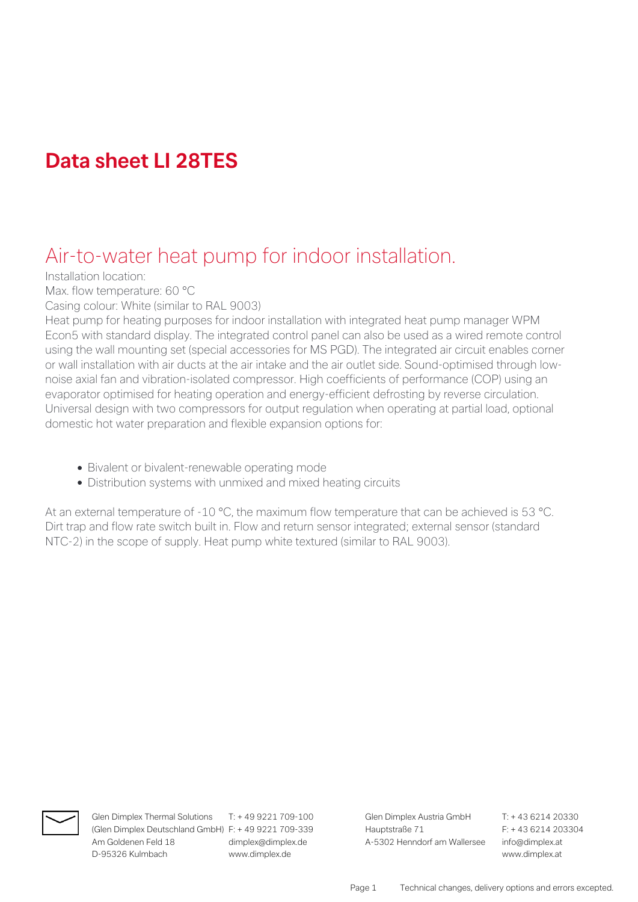# **Data sheet LI 28TES**

## Air-to-water heat pump for indoor installation.

Installation location:

Max. flow temperature: 60 °C

Casing colour: White (similar to RAL 9003)

Heat pump for heating purposes for indoor installation with integrated heat pump manager WPM Econ5 with standard display. The integrated control panel can also be used as a wired remote control using the wall mounting set (special accessories for MS PGD). The integrated air circuit enables corner or wall installation with air ducts at the air intake and the air outlet side. Sound-optimised through lownoise axial fan and vibration-isolated compressor. High coefficients of performance (COP) using an evaporator optimised for heating operation and energy-efficient defrosting by reverse circulation. Universal design with two compressors for output regulation when operating at partial load, optional domestic hot water preparation and flexible expansion options for:

- Bivalent or bivalent-renewable operating mode
- Distribution systems with unmixed and mixed heating circuits

At an external temperature of -10 °C, the maximum flow temperature that can be achieved is 53 °C. Dirt trap and flow rate switch built in. Flow and return sensor integrated; external sensor (standard NTC-2) in the scope of supply. Heat pump white textured (similar to RAL 9003).



(Glen Dimplex Deutschland GmbH) F: + 49 9221 709-339 Hauptstraße 71 F: + 43 6214 203304 Am Goldenen Feld 18 dimplex@dimplex.de A-5302 Henndorf am Wallersee info@dimplex.at D-95326 Kulmbach www.dimplex.de www.dimplex.at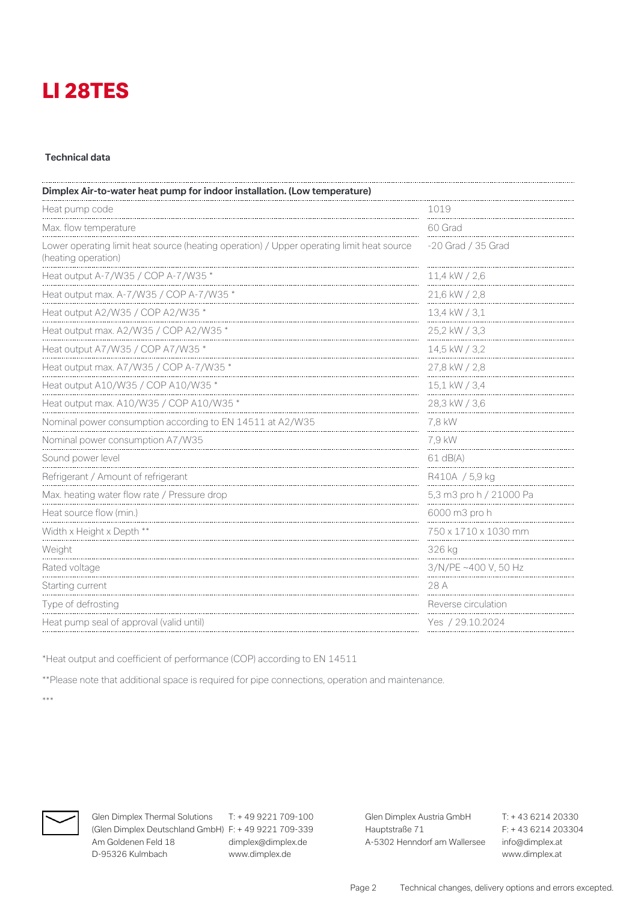#### **Technical data**

| Dimplex Air-to-water heat pump for indoor installation. (Low temperature)                                        |                         |  |
|------------------------------------------------------------------------------------------------------------------|-------------------------|--|
| Heat pump code                                                                                                   | 1019                    |  |
| Max. flow temperature                                                                                            | 60 Grad                 |  |
| Lower operating limit heat source (heating operation) / Upper operating limit heat source<br>(heating operation) | -20 Grad / 35 Grad      |  |
| Heat output A-7/W35 / COP A-7/W35 *                                                                              | 11,4 kW / 2,6           |  |
| Heat output max. A-7/W35 / COP A-7/W35 *                                                                         | 21,6 kW / 2,8           |  |
| Heat output A2/W35 / COP A2/W35 *                                                                                | 13,4 kW / 3,1           |  |
| Heat output max. A2/W35 / COP A2/W35 *                                                                           | 25,2 kW / 3,3           |  |
| Heat output A7/W35 / COP A7/W35 *                                                                                | 14,5 kW / 3,2           |  |
| Heat output max. A7/W35 / COP A-7/W35 *                                                                          | 27,8 kW / 2,8           |  |
| Heat output A10/W35 / COP A10/W35 *                                                                              | 15,1 kW / 3,4           |  |
| Heat output max. A10/W35 / COP A10/W35 *                                                                         | 28,3 kW / 3,6           |  |
| Nominal power consumption according to EN 14511 at A2/W35                                                        | 7,8 kW                  |  |
| Nominal power consumption A7/W35                                                                                 | 7.9 kW                  |  |
| Sound power level                                                                                                | $61$ dB(A)              |  |
| Refrigerant / Amount of refrigerant                                                                              | R410A / 5,9 kg          |  |
| Max. heating water flow rate / Pressure drop                                                                     | 5,3 m3 pro h / 21000 Pa |  |
| Heat source flow (min.)                                                                                          | 6000 m3 pro h           |  |
| Width x Height x Depth **                                                                                        | 750 x 1710 x 1030 mm    |  |
| Weight                                                                                                           | 326 kg                  |  |
| Rated voltage                                                                                                    | 3/N/PE ~400 V, 50 Hz    |  |
| Starting current                                                                                                 | 28 A                    |  |
| Type of defrosting                                                                                               | Reverse circulation     |  |
| Heat pump seal of approval (valid until)                                                                         | Yes / 29.10.2024        |  |

\*Heat output and coefficient of performance (COP) according to EN 14511

\*\*Please note that additional space is required for pipe connections, operation and maintenance.

\*\*\*



**Glen Dimplex Thermal Solutions** T: + 49 9221 709-100 **Glen Dimplex Austria GmbH** T: + 43 6214 20330 (Glen Dimplex Deutschland GmbH) F: + 49 9221 709-339 Hauptstraße 71 Am Goldenen Feld 18 dimplex@dimplex.de A-5302 Henndorf am Wallersee info@dimplex.at D-95326 Kulmbach www.dimplex.de www.dimplex.at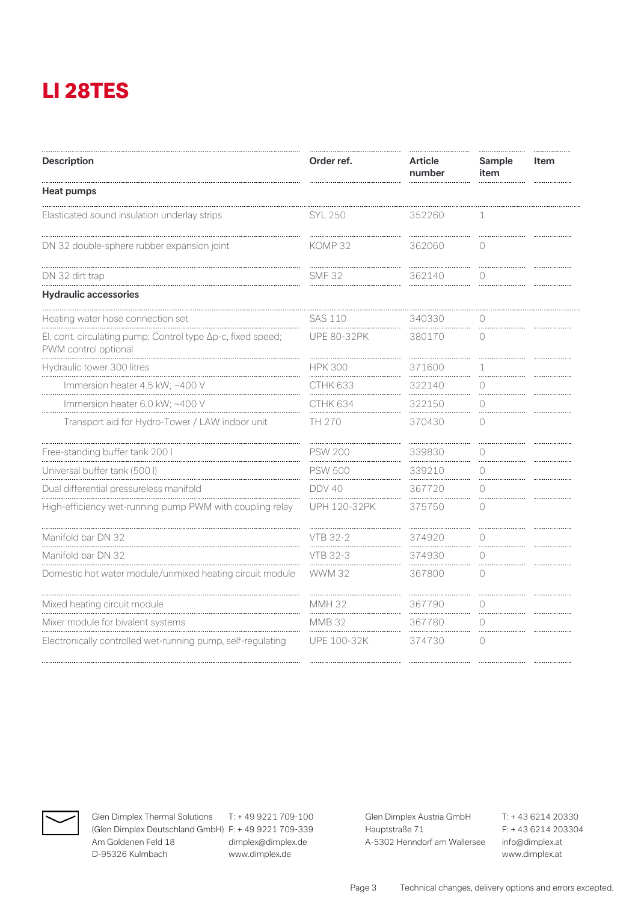| <b>Description</b>                                                                  | Order ref.          | <b>Article</b><br>number | Sample<br>item  | Item |
|-------------------------------------------------------------------------------------|---------------------|--------------------------|-----------------|------|
| <b>Heat pumps</b>                                                                   |                     |                          |                 |      |
| Elasticated sound insulation underlay strips                                        | SYL 250             | 352260                   | 1               |      |
| DN 32 double-sphere rubber expansion joint                                          | KOMP 32             | 362060                   | $\circ$         |      |
| DN 32 dirt trap                                                                     | <b>SMF 32</b>       | 362140                   | $\bigcirc$      |      |
| <b>Hydraulic accessories</b>                                                        |                     |                          |                 |      |
| Heating water hose connection set                                                   | <b>SAS 110</b>      | 340330                   | $\bigcap$       |      |
| El. cont. circulating pump: Control type Ap-c, fixed speed;<br>PWM control optional | <b>UPE 80-32PK</b>  | 380170                   | $\bigcap$       |      |
| Hydraulic tower 300 litres                                                          | <b>HPK 300</b>      | 371600<br>.              | 1<br>.          |      |
| Immersion heater 4.5 kW; ~400 V                                                     | CTHK 633            | 322140                   | 0<br>.          |      |
| Immersion heater 6.0 kW; ~400 V                                                     | CTHK 634            | 322150                   | $\bigcap$       |      |
| Transport aid for Hydro-Tower / LAW indoor unit                                     | TH 270              | 370430                   | $\bigcirc$      |      |
| Free-standing buffer tank 200 l                                                     | <b>PSW 200</b>      | 339830                   | $\bigcirc$      |      |
| Universal buffer tank (500 l)                                                       | <b>PSW 500</b>      | 339210                   | 0<br>.          |      |
| Dual differential pressureless manifold                                             | DDV 40              | 367720                   | ∩               |      |
| High-efficiency wet-running pump PWM with coupling relay                            | <b>UPH 120-32PK</b> | 375750                   | $\bigcirc$      |      |
| Manifold bar DN 32                                                                  | <b>VTB 32-2</b>     | 374920                   | $\bigcirc$<br>. |      |
| Manifold bar DN 32                                                                  | VTB 32-3            | 374930                   | $\bigcap$       |      |
| Domestic hot water module/unmixed heating circuit module                            | <b>WWM 32</b>       | 367800                   | $\bigcirc$      |      |
| Mixed heating circuit module                                                        | <b>MMH 32</b>       | 367790                   | $\bigcirc$      |      |
| Mixer module for bivalent systems                                                   | <b>MMB 32</b>       | 367780                   | ∩               |      |
| Electronically controlled wet-running pump, self-regulating                         | <b>UPE 100-32K</b>  | 374730                   | $\bigcirc$      |      |
|                                                                                     |                     |                          |                 |      |



**Glen Dimplex Thermal Solutions** T: + 49 9221 709-100 **Glen Dimplex Austria GmbH** T: + 43 6214 20330 (Glen Dimplex Deutschland GmbH) F: + 49 9221 709-339 Hauptstraße 71 Am Goldenen Feld 18 dimplex@dimplex.de A-5302 Henndorf am Wallersee info@dimplex.at D-95326 Kulmbach www.dimplex.de www.dimplex.at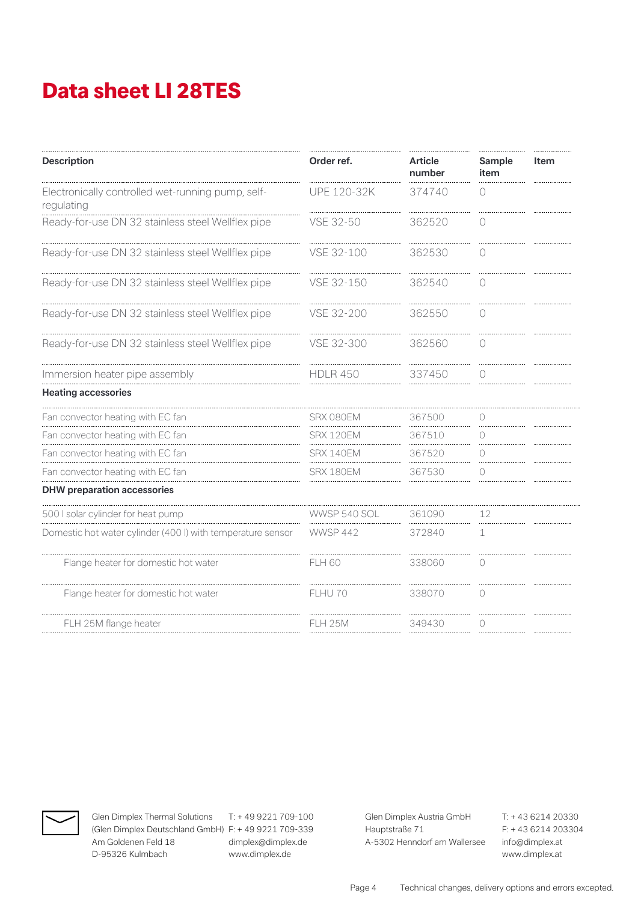# **Data sheet LI 28TES**

| <b>Description</b>                                              | Order ref.          | <b>Article</b><br>number | Sample<br>item | Item |
|-----------------------------------------------------------------|---------------------|--------------------------|----------------|------|
| Electronically controlled wet-running pump, self-<br>regulating | <b>UPE 120-32K</b>  | 374740                   | $\bigcap$      |      |
| Ready-for-use DN 32 stainless steel Wellflex pipe               | VSE 32-50           | 362520                   | $\bigcap$      |      |
| Ready-for-use DN 32 stainless steel Wellflex pipe               | VSE 32-100          | 362530                   | $\bigcirc$     |      |
| Ready-for-use DN 32 stainless steel Wellflex pipe               | VSE 32-150          | 362540                   | ∩              |      |
| Ready-for-use DN 32 stainless steel Wellflex pipe               | VSE 32-200          | 362550                   | $\bigcap$      |      |
| Ready-for-use DN 32 stainless steel Wellflex pipe               | VSE 32-300          | 362560                   | $\bigcirc$     |      |
| Immersion heater pipe assembly                                  | <b>HDLR 450</b>     | 337450                   | ∩              |      |
| <b>Heating accessories</b>                                      |                     |                          |                |      |
| Fan convector heating with EC fan                               | SRX 080EM           | 367500                   | 0              |      |
| Fan convector heating with EC fan                               | SRX 120EM           | 367510                   | 0              |      |
| Fan convector heating with EC fan                               | SRX 140EM           | 367520                   | ∩              |      |
| Fan convector heating with EC fan                               | SRX 180EM           | 367530                   | 0              |      |
| <b>DHW</b> preparation accessories                              |                     |                          |                |      |
| 500 I solar cylinder for heat pump                              | <b>WWSP 540 SOL</b> | 361090                   | 12             |      |
| Domestic hot water cylinder (400 l) with temperature sensor     | <b>WWSP 442</b>     | 372840                   | 1              |      |
| Flange heater for domestic hot water                            | <b>FLH 60</b>       | 338060                   | 0              |      |
| Flange heater for domestic hot water                            | FLHU 70             | 338070                   | $\bigcirc$     |      |
| FLH 25M flange heater                                           | <b>FLH 25M</b>      | 349430                   | $\bigcap$      |      |
|                                                                 |                     |                          |                |      |



(Glen Dimplex Deutschland GmbH) F: + 49 9221 709-339 Hauptstraße 71 Am Goldenen Feld 18 dimplex@dimplex.de A-5302 Henndorf am Wallersee info@dimplex.at D-95326 Kulmbach www.dimplex.de www.dimplex.at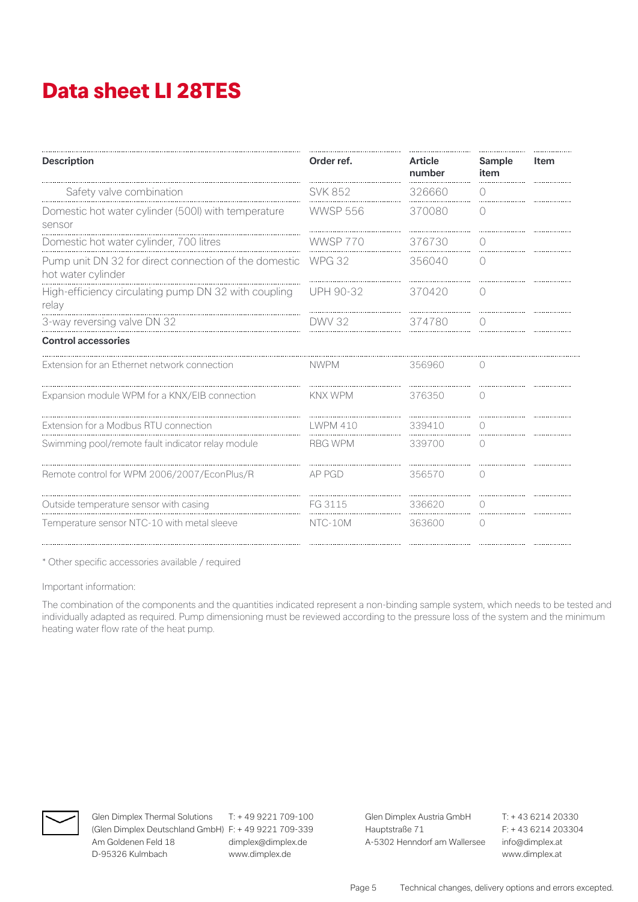# **Data sheet LI 28TES**

| <b>Description</b>                                                          | Order ref.      | <b>Article</b><br>number | Sample<br>item   | Item |
|-----------------------------------------------------------------------------|-----------------|--------------------------|------------------|------|
| Safety valve combination                                                    | <b>SVK 852</b>  | 326660                   | $\left( \right)$ |      |
| Domestic hot water cylinder (500I) with temperature<br>sensor               | <b>WWSP 556</b> | 370080                   | ∩                |      |
| Domestic hot water cylinder, 700 litres                                     | <b>WWSP 770</b> | 376730                   | $\bigcirc$       |      |
| Pump unit DN 32 for direct connection of the domestic<br>hot water cylinder | <b>WPG 32</b>   | 356040                   | 0                |      |
| High-efficiency circulating pump DN 32 with coupling<br>relay               | UPH 90-32       | 370420                   | 0                |      |
| 3-way reversing valve DN 32                                                 | DWV 32          | 374780                   | $\left( \right)$ |      |
| <b>Control accessories</b>                                                  |                 |                          |                  |      |
| Extension for an Ethernet network connection                                | <b>NWPM</b>     | 356960                   | 0                |      |
| Expansion module WPM for a KNX/EIB connection                               | <b>KNX WPM</b>  | 376350                   | $\bigcirc$       |      |
| Extension for a Modbus RTU connection                                       | I WPM 410       | 339410                   | $\left( \right)$ |      |
| Swimming pool/remote fault indicator relay module                           | <b>RBG WPM</b>  | 339700                   | 0                |      |
| Remote control for WPM 2006/2007/EconPlus/R                                 | AP PGD          | 356570                   | $\left( \right)$ |      |
| Outside temperature sensor with casing                                      | FG 3115         | 336620                   |                  |      |
| Temperature sensor NTC-10 with metal sleeve                                 | NTC-10M         | 363600                   | $\left( \right)$ |      |

\* Other specific accessories available / required

Important information:

The combination of the components and the quantities indicated represent a non-binding sample system, which needs to be tested and individually adapted as required. Pump dimensioning must be reviewed according to the pressure loss of the system and the minimum heating water flow rate of the heat pump.



(Glen Dimplex Deutschland GmbH) F: + 49 9221 709-339 Hauptstraße 71 F: + 43 6214 203304 Am Goldenen Feld 18 dimplex@dimplex.de A-5302 Henndorf am Wallersee info@dimplex.at D-95326 Kulmbach www.dimplex.de www.dimplex.at

**Glen Dimplex Thermal Solutions** T: + 49 9221 709-100 **Glen Dimplex Austria GmbH** T: + 43 6214 20330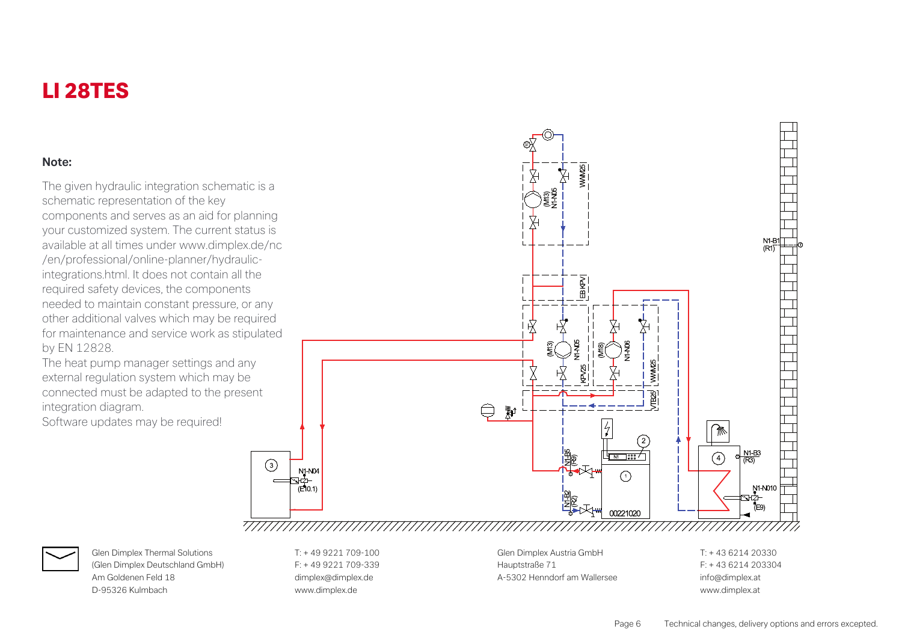#### **Note:**

The given hydraulic integration schematic is a schematic representation of the key components and serves as an aid for planning your customized system. The current status is available at all times under www.dimplex.de/nc /en/professional/online-planner/hydraulicintegrations.html. It does not contain all the required safety devices, the components needed to maintain constant pressure, or any other additional valves which may be required for maintenance and service work as stipulated by EN 12828.

The heat pump manager settings and any external regulation system which may be connected must be adapted to the present integration diagram.

Software updates may be required!





(Glen Dimplex Deutschland GmbH) F: + 49 9221 709-339 Hauptstraße 71 F: + 43 6214 203304 Am Goldenen Feld 18 dimplex@dimplex.@dimplex.de and the A-5302 Henndorf am Wallersee info@dimplex.at D-95326 Kulmbach www.dimplex.de www.dimplex.at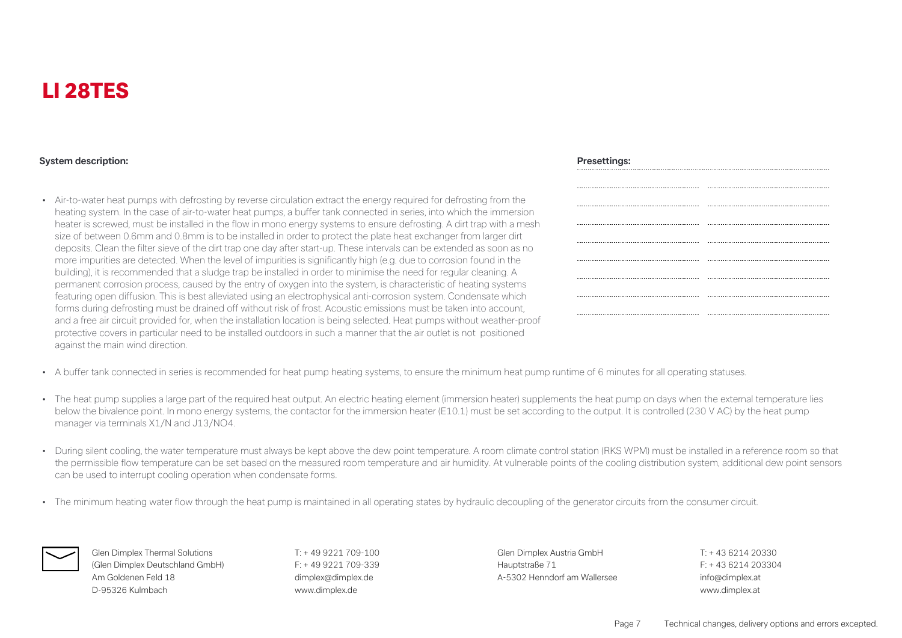#### **System description: Presettings:**

• Air-to-water heat pumps with defrosting by reverse circulation extract the energy required for defrosting from the heating system. In the case of air-to-water heat pumps, a buffer tank connected in series, into which the immersion heater is screwed, must be installed in the flow in mono energy systems to ensure defrosting. A dirt trap with a mesh size of between 0.6mm and 0.8mm is to be installed in order to protect the plate heat exchanger from larger dirt deposits. Clean the filter sieve of the dirt trap one day after start-up. These intervals can be extended as soon as no more impurities are detected. When the level of impurities is significantly high (e.g. due to corrosion found in the building), it is recommended that a sludge trap be installed in order to minimise the need for regular cleaning. A permanent corrosion process, caused by the entry of oxygen into the system, is characteristic of heating systems featuring open diffusion. This is best alleviated using an electrophysical anti-corrosion system. Condensate which forms during defrosting must be drained off without risk of frost. Acoustic emissions must be taken into account, and a free air circuit provided for, when the installation location is being selected. Heat pumps without weather-proof protective covers in particular need to be installed outdoors in such a manner that the air outlet is not positioned against the main wind direction.

- A buffer tank connected in series is recommended for heat pump heating systems, to ensure the minimum heat pump runtime of 6 minutes for all operating statuses.
- The heat pump supplies a large part of the required heat output. An electric heating element (immersion heater) supplements the heat pump on days when the external temperature lies below the bivalence point. In mono energy systems, the contactor for the immersion heater (E10.1) must be set according to the output. It is controlled (230 V AC) by the heat pump manager via terminals X1/N and J13/NO4.
- During silent cooling, the water temperature must always be kept above the dew point temperature. A room climate control station (RKS WPM) must be installed in a reference room so that the permissible flow temperature can be set based on the measured room temperature and air humidity. At vulnerable points of the cooling distribution system, additional dew point sensors can be used to interrupt cooling operation when condensate forms.
- The minimum heating water flow through the heat pump is maintained in all operating states by hydraulic decoupling of the generator circuits from the consumer circuit.



**Glen Dimplex Thermal Solutions** T: + 49 9221 709-100 **Glen Dimplex Austria GmbH** T: + 43 6214 20330 (Glen Dimplex Deutschland GmbH) F: + 49 9221 709-339 Hauptstraße 71 F: + 43 6214 203304 Am Goldenen Feld 18 dimplex@dimplex.de A-5302 Henndorf am Wallersee info@dimplex.at D-95326 Kulmbach www.dimplex.de www.dimplex.at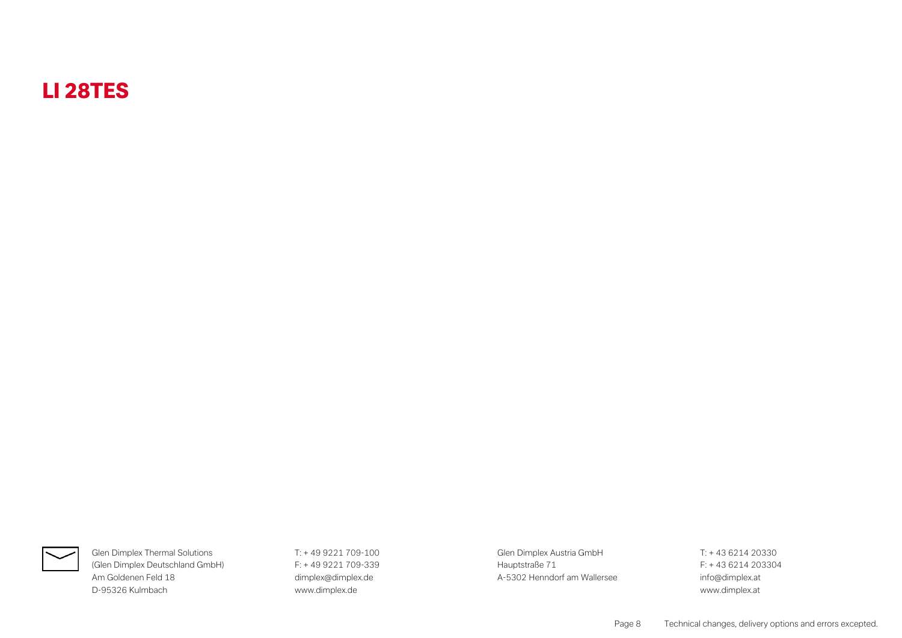

(Glen Dimplex Deutschland GmbH) F: + 49 9221 709-339 Hauptstraße 71 F: + 43 6214 203304 Am Goldenen Feld 18 and 18 dimplex@dimplex.de and the A-5302 Henndorf am Wallersee info@dimplex.at D-95326 Kulmbach www.dimplex.de www.dimplex.at

**Glen Dimplex Thermal Solutions** T: + 49 9221 709-100 **Glen Dimplex Austria GmbH** T: + 43 6214 20330

Page 8 Technical changes, delivery options and errors excepted.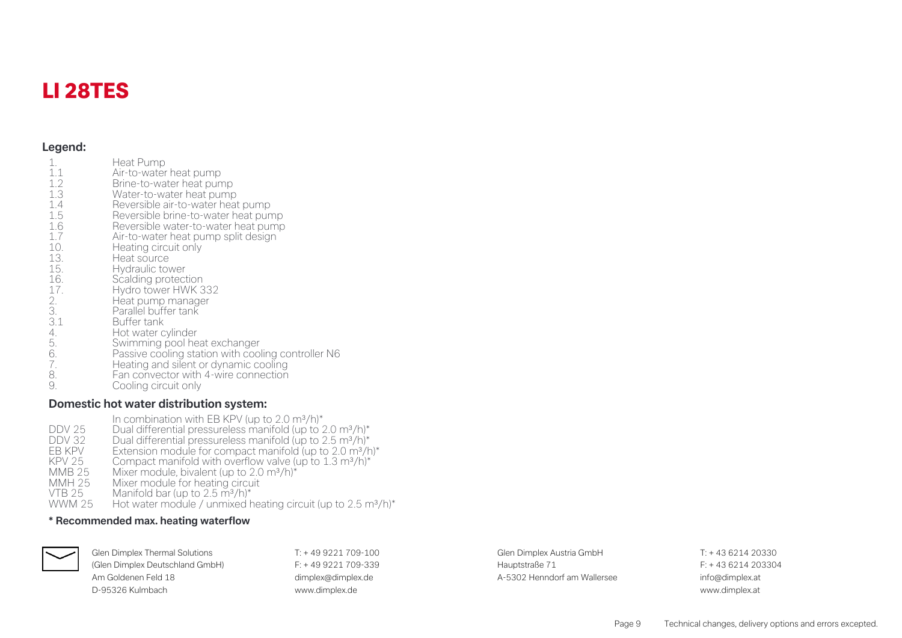#### **Legend:**

| $\mathbf{1}$ .<br>1.1<br>1.2<br>1.3<br>1.4<br>1.5<br>1.6<br>1.7<br>10.<br>13.<br>15.<br>16.<br>17.<br>2.<br>3.<br>3.1<br>4.<br>5.<br>$\overline{6}$ .<br>7.<br>8.<br>9. | Heat Pump<br>Air-to-water heat pump<br>Brine-to-water heat pump<br>Water-to-water heat pump<br>Reversible air-to-water heat pump<br>Reversible brine-to-water heat pump<br>Reversible water-to-water heat pump<br>Air-to-water heat pump split design<br>Heating circuit only<br>Heat source<br>Hydraulic tower<br>Scalding protection<br>Hydro tower HWK 332<br>Heat pump manager<br>Parallel buffer tank<br>Buffer tank<br>Hot water cylinder<br>Swimming pool heat exchanger<br>Passive cooling station with cooling controller N6<br>Heating and silent or dynamic cooling<br>Fan convector with 4-wire connection<br>Cooling circuit only |
|-------------------------------------------------------------------------------------------------------------------------------------------------------------------------|------------------------------------------------------------------------------------------------------------------------------------------------------------------------------------------------------------------------------------------------------------------------------------------------------------------------------------------------------------------------------------------------------------------------------------------------------------------------------------------------------------------------------------------------------------------------------------------------------------------------------------------------|
|-------------------------------------------------------------------------------------------------------------------------------------------------------------------------|------------------------------------------------------------------------------------------------------------------------------------------------------------------------------------------------------------------------------------------------------------------------------------------------------------------------------------------------------------------------------------------------------------------------------------------------------------------------------------------------------------------------------------------------------------------------------------------------------------------------------------------------|

#### **Domestic hot water distribution system:**

In combination with EB KPV (up to  $2.0 \text{ m}^3/\text{h}$ )\* DDV 25 Dual differential pressureless manifold (up to 2.0 m<sup>3</sup>/h)\*<br>DDV 32 Dual differential pressureless manifold (up to 2.5 m<sup>3</sup>/h)\* DDV 32 Dual differential pressureless manifold (up to 2.5 m<sup>3</sup>/h)\*<br>FB KPV Fxtension module for compact manifold (up to 2.0 m<sup>3</sup>/h EB KPV Extension module for compact manifold (up to 2.0 m<sup>3</sup>/h)\*<br>EB KPV Extension module for compact manifold (up to 2.0 m<sup>3</sup>/h)\*  $KPV$  25 Compact manifold with overflow valve (up to 1.3 m<sup>3</sup>/h)<sup>\*</sup><br>MMB 25 Mixer module bivalent (up to 2.0 m<sup>3</sup>/h)<sup>\*</sup> MMB 25 Mixer module, bivalent (up to 2.0 m<sup>3</sup>/h)<sup>\*</sup><br>MMH 25 Mixer module for heating circuit MMH 25 Mixer module for heating circuit<br>VTB 25 Manifold bar (up to 2.5 m<sup>3</sup>/h)\* VTB 25 Manifold bar (up to 2.5 m<sup>3</sup>/h)<sup>\*</sup><br>WWM 25 Hot water module / unmixed b Hot water module / unmixed heating circuit (up to 2.5 m<sup>3</sup>/h)<sup>\*</sup>

#### **\* Recommended max. heating waterflow**



(Glen Dimplex Deutschland GmbH) F: + 49 9221 709-339 Hauptstraße 71 F: + 43 6214 203304 Am Goldenen Feld 18 dimplex@dimplex.@dimplex.de and the A-5302 Henndorf am Wallersee info@dimplex.at D-95326 Kulmbach www.dimplex.de www.dimplex.at